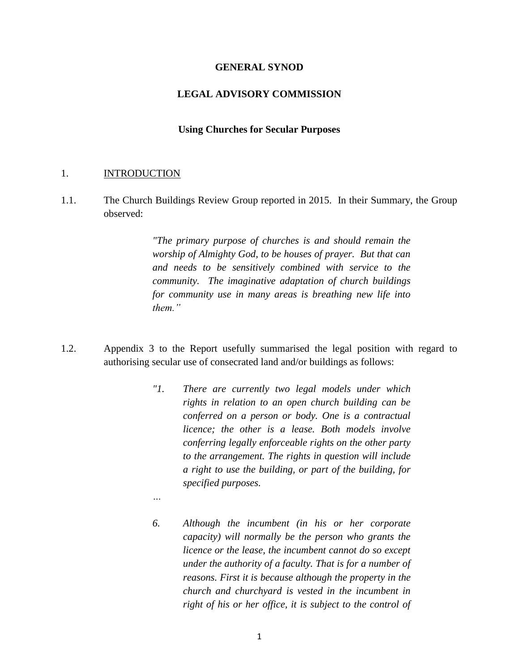#### **GENERAL SYNOD**

### **LEGAL ADVISORY COMMISSION**

#### **Using Churches for Secular Purposes**

#### 1. INTRODUCTION

*…*

1.1. The Church Buildings Review Group reported in 2015. In their Summary, the Group observed:

> *"The primary purpose of churches is and should remain the worship of Almighty God, to be houses of prayer. But that can and needs to be sensitively combined with service to the community. The imaginative adaptation of church buildings for community use in many areas is breathing new life into them."*

- 1.2. Appendix 3 to the Report usefully summarised the legal position with regard to authorising secular use of consecrated land and/or buildings as follows:
	- *"1. There are currently two legal models under which rights in relation to an open church building can be conferred on a person or body. One is a contractual licence; the other is a lease. Both models involve conferring legally enforceable rights on the other party to the arrangement. The rights in question will include a right to use the building, or part of the building, for specified purposes.*
	- *6. Although the incumbent (in his or her corporate capacity) will normally be the person who grants the licence or the lease, the incumbent cannot do so except under the authority of a faculty. That is for a number of reasons. First it is because although the property in the church and churchyard is vested in the incumbent in right of his or her office, it is subject to the control of*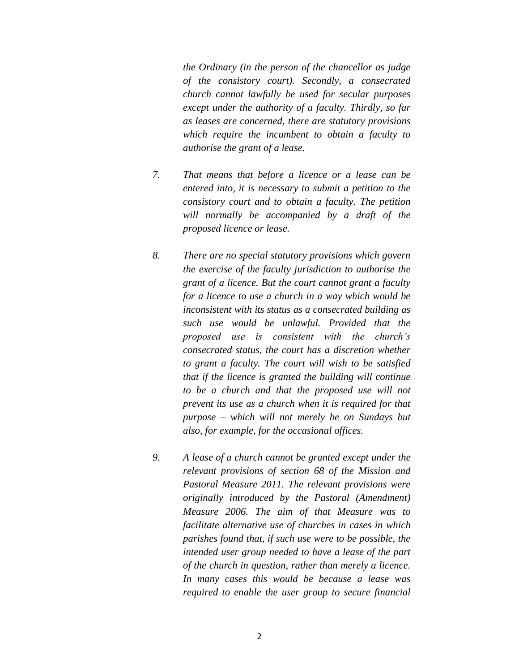*the Ordinary (in the person of the chancellor as judge of the consistory court). Secondly, a consecrated church cannot lawfully be used for secular purposes except under the authority of a faculty. Thirdly, so far as leases are concerned, there are statutory provisions which require the incumbent to obtain a faculty to authorise the grant of a lease.* 

- *7. That means that before a licence or a lease can be entered into, it is necessary to submit a petition to the consistory court and to obtain a faculty. The petition will normally be accompanied by a draft of the proposed licence or lease.*
- *8. There are no special statutory provisions which govern the exercise of the faculty jurisdiction to authorise the grant of a licence. But the court cannot grant a faculty for a licence to use a church in a way which would be inconsistent with its status as a consecrated building as such use would be unlawful. Provided that the proposed use is consistent with the church's consecrated status, the court has a discretion whether to grant a faculty. The court will wish to be satisfied that if the licence is granted the building will continue to be a church and that the proposed use will not prevent its use as a church when it is required for that purpose – which will not merely be on Sundays but also, for example, for the occasional offices.*
- *9. A lease of a church cannot be granted except under the relevant provisions of section 68 of the Mission and Pastoral Measure 2011. The relevant provisions were originally introduced by the Pastoral (Amendment) Measure 2006. The aim of that Measure was to facilitate alternative use of churches in cases in which parishes found that, if such use were to be possible, the intended user group needed to have a lease of the part of the church in question, rather than merely a licence. In many cases this would be because a lease was required to enable the user group to secure financial*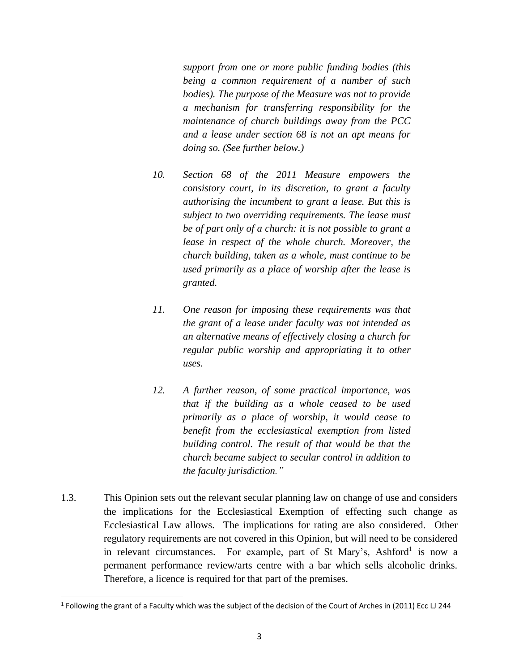*support from one or more public funding bodies (this being a common requirement of a number of such bodies). The purpose of the Measure was not to provide a mechanism for transferring responsibility for the maintenance of church buildings away from the PCC and a lease under section 68 is not an apt means for doing so. (See further below.)* 

- *10. Section 68 of the 2011 Measure empowers the consistory court, in its discretion, to grant a faculty authorising the incumbent to grant a lease. But this is subject to two overriding requirements. The lease must be of part only of a church: it is not possible to grant a lease in respect of the whole church. Moreover, the church building, taken as a whole, must continue to be used primarily as a place of worship after the lease is granted.*
- *11. One reason for imposing these requirements was that the grant of a lease under faculty was not intended as an alternative means of effectively closing a church for regular public worship and appropriating it to other uses.*
- *12. A further reason, of some practical importance, was that if the building as a whole ceased to be used primarily as a place of worship, it would cease to benefit from the ecclesiastical exemption from listed building control. The result of that would be that the church became subject to secular control in addition to the faculty jurisdiction."*
- 1.3. This Opinion sets out the relevant secular planning law on change of use and considers the implications for the Ecclesiastical Exemption of effecting such change as Ecclesiastical Law allows. The implications for rating are also considered. Other regulatory requirements are not covered in this Opinion, but will need to be considered in relevant circumstances. For example, part of St Mary's, Ashford<sup>1</sup> is now a permanent performance review/arts centre with a bar which sells alcoholic drinks. Therefore, a licence is required for that part of the premises.

<sup>&</sup>lt;sup>1</sup> Following the grant of a Faculty which was the subject of the decision of the Court of Arches in (2011) Ecc LJ 244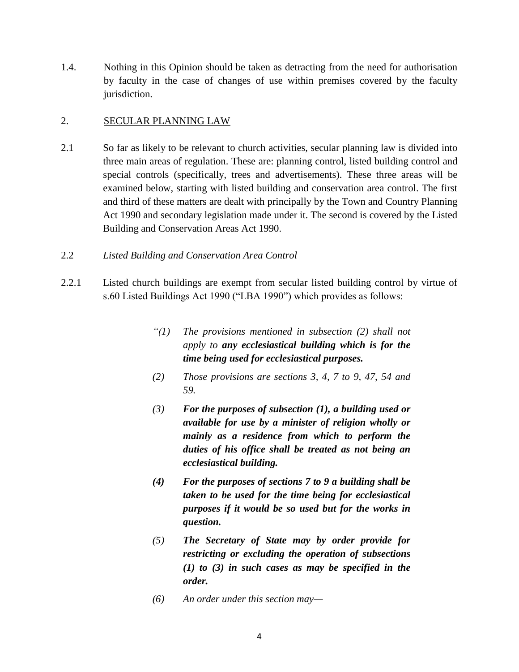1.4. Nothing in this Opinion should be taken as detracting from the need for authorisation by faculty in the case of changes of use within premises covered by the faculty jurisdiction.

## 2. SECULAR PLANNING LAW

2.1 So far as likely to be relevant to church activities, secular planning law is divided into three main areas of regulation. These are: planning control, listed building control and special controls (specifically, trees and advertisements). These three areas will be examined below, starting with listed building and conservation area control. The first and third of these matters are dealt with principally by the Town and Country Planning Act 1990 and secondary legislation made under it. The second is covered by the Listed Building and Conservation Areas Act 1990.

### 2.2 *Listed Building and Conservation Area Control*

- 2.2.1 Listed church buildings are exempt from secular listed building control by virtue of s.60 Listed Buildings Act 1990 ("LBA 1990") which provides as follows:
	- *"(1) The provisions mentioned in subsection (2) shall not apply to any ecclesiastical building which is for the time being used for ecclesiastical purposes.*
	- *(2) Those provisions are sections 3, 4, 7 to 9, 47, 54 and 59.*
	- *(3) For the purposes of subsection (1), a building used or available for use by a minister of religion wholly or mainly as a residence from which to perform the duties of his office shall be treated as not being an ecclesiastical building.*
	- *(4) For the purposes of sections 7 to 9 a building shall be taken to be used for the time being for ecclesiastical purposes if it would be so used but for the works in question.*
	- *(5) The Secretary of State may by order provide for restricting or excluding the operation of subsections (1) to (3) in such cases as may be specified in the order.*
	- *(6) An order under this section may—*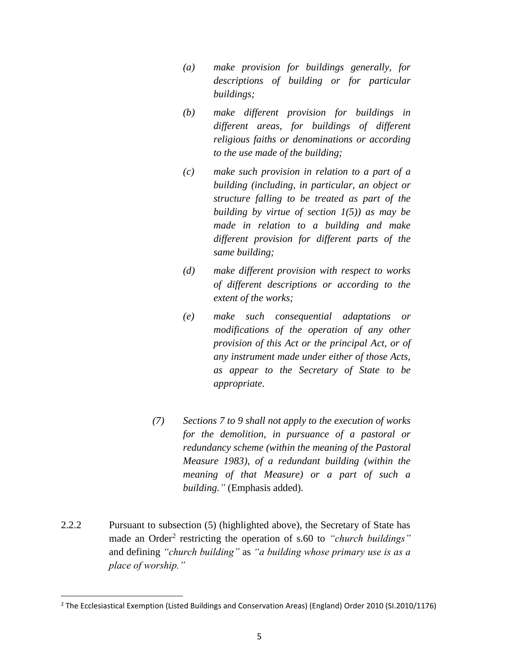- *(a) make provision for buildings generally, for descriptions of building or for particular buildings;*
- *(b) make different provision for buildings in different areas, for buildings of different religious faiths or denominations or according to the use made of the building;*
- *(c) make such provision in relation to a part of a building (including, in particular, an object or structure falling to be treated as part of the building by virtue of section 1(5)) as may be made in relation to a building and make different provision for different parts of the same building;*
- *(d) make different provision with respect to works of different descriptions or according to the extent of the works;*
- *(e) make such consequential adaptations or modifications of the operation of any other provision of this Act or the principal Act, or of any instrument made under either of those Acts, as appear to the Secretary of State to be appropriate.*
- *(7) Sections 7 to 9 shall not apply to the execution of works for the demolition, in pursuance of a pastoral or redundancy scheme (within the meaning of the Pastoral Measure 1983), of a redundant building (within the meaning of that Measure) or a part of such a building."* (Emphasis added).
- 2.2.2 Pursuant to subsection (5) (highlighted above), the Secretary of State has made an Order<sup>2</sup> restricting the operation of s.60 to "*church buildings*" and defining *"church building"* as *"a building whose primary use is as a place of worship."*

<sup>2</sup> The Ecclesiastical Exemption (Listed Buildings and Conservation Areas) (England) Order 2010 (SI.2010/1176)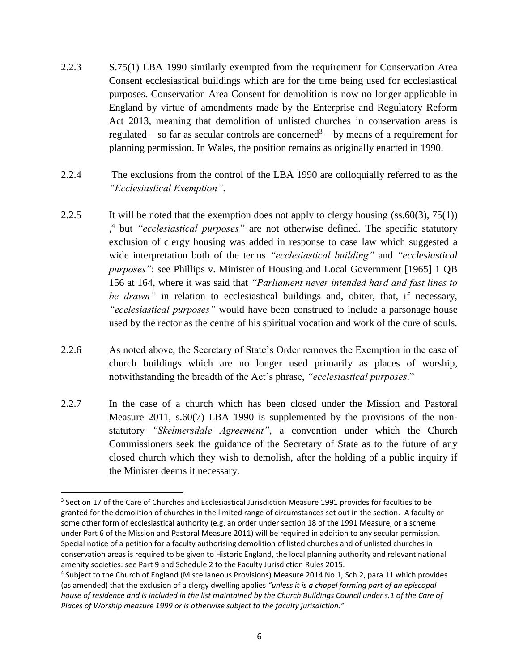- 2.2.3 S.75(1) LBA 1990 similarly exempted from the requirement for Conservation Area Consent ecclesiastical buildings which are for the time being used for ecclesiastical purposes. Conservation Area Consent for demolition is now no longer applicable in England by virtue of amendments made by the Enterprise and Regulatory Reform Act 2013, meaning that demolition of unlisted churches in conservation areas is regulated – so far as secular controls are concerned<sup>3</sup> – by means of a requirement for planning permission. In Wales, the position remains as originally enacted in 1990.
- 2.2.4 The exclusions from the control of the LBA 1990 are colloquially referred to as the *"Ecclesiastical Exemption"*.
- 2.2.5 It will be noted that the exemption does not apply to clergy housing  $(ss.60(3), 75(1))$ , 4 but *"ecclesiastical purposes"* are not otherwise defined. The specific statutory exclusion of clergy housing was added in response to case law which suggested a wide interpretation both of the terms *"ecclesiastical building"* and *"ecclesiastical purposes*": see Phillips v. Minister of Housing and Local Government [1965] 1 QB 156 at 164, where it was said that *"Parliament never intended hard and fast lines to be drawn"* in relation to ecclesiastical buildings and, obiter, that, if necessary, *"ecclesiastical purposes"* would have been construed to include a parsonage house used by the rector as the centre of his spiritual vocation and work of the cure of souls*.*
- 2.2.6 As noted above, the Secretary of State's Order removes the Exemption in the case of church buildings which are no longer used primarily as places of worship, notwithstanding the breadth of the Act's phrase, *"ecclesiastical purposes*."
- 2.2.7 In the case of a church which has been closed under the Mission and Pastoral Measure 2011, s.60(7) LBA 1990 is supplemented by the provisions of the nonstatutory *"Skelmersdale Agreement"*, a convention under which the Church Commissioners seek the guidance of the Secretary of State as to the future of any closed church which they wish to demolish, after the holding of a public inquiry if the Minister deems it necessary.

 $\overline{a}$ 

 $3$  Section 17 of the Care of Churches and Ecclesiastical Jurisdiction Measure 1991 provides for faculties to be granted for the demolition of churches in the limited range of circumstances set out in the section. A faculty or some other form of ecclesiastical authority (e.g. an order under section 18 of the 1991 Measure, or a scheme under Part 6 of the Mission and Pastoral Measure 2011) will be required in addition to any secular permission. Special notice of a petition for a faculty authorising demolition of listed churches and of unlisted churches in conservation areas is required to be given to Historic England, the local planning authority and relevant national amenity societies: see Part 9 and Schedule 2 to the Faculty Jurisdiction Rules 2015.

<sup>4</sup> Subject to the Church of England (Miscellaneous Provisions) Measure 2014 No.1, Sch.2, para 11 which provides (as amended) that the exclusion of a clergy dwelling applies *"unless it is a chapel forming part of an episcopal*  house of residence and is included in the list maintained by the Church Buildings Council under s.1 of the Care of *Places of Worship measure 1999 or is otherwise subject to the faculty jurisdiction."*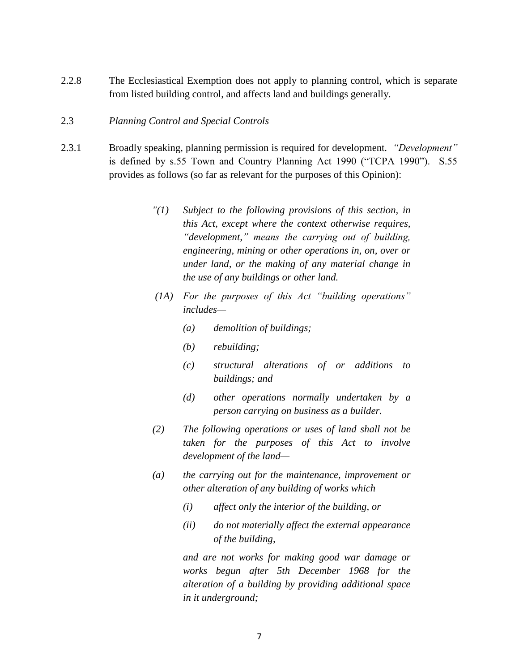2.2.8 The Ecclesiastical Exemption does not apply to planning control, which is separate from listed building control, and affects land and buildings generally.

### 2.3 *Planning Control and Special Controls*

- 2.3.1 Broadly speaking, planning permission is required for development. *"Development"* is defined by s.55 Town and Country Planning Act 1990 ("TCPA 1990"). S.55 provides as follows (so far as relevant for the purposes of this Opinion):
	- *"(1) Subject to the following provisions of this section, in this Act, except where the context otherwise requires, "development," means the carrying out of building, engineering, mining or other operations in, on, over or under land, or the making of any material change in the use of any buildings or other land.*
	- *(1A) For the purposes of this Act "building operations" includes—*
		- *(a) demolition of buildings;*
		- *(b) rebuilding;*
		- *(c) structural alterations of or additions to buildings; and*
		- *(d) other operations normally undertaken by a person carrying on business as a builder.*
	- *(2) The following operations or uses of land shall not be taken for the purposes of this Act to involve development of the land—*
	- *(a) the carrying out for the maintenance, improvement or other alteration of any building of works which—*
		- *(i) affect only the interior of the building, or*
		- *(ii) do not materially affect the external appearance of the building,*

*and are not works for making good war damage or works begun after 5th December 1968 for the alteration of a building by providing additional space in it underground;*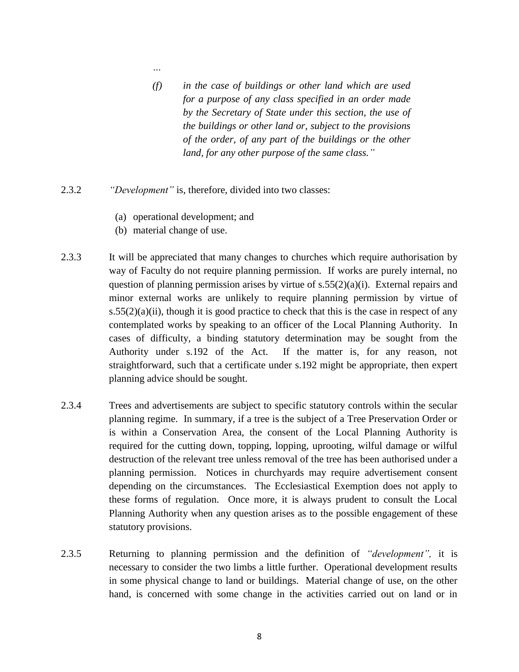- *(f) in the case of buildings or other land which are used for a purpose of any class specified in an order made by the Secretary of State under this section, the use of the buildings or other land or, subject to the provisions of the order, of any part of the buildings or the other land, for any other purpose of the same class."*
- 2.3.2 *"Development"* is, therefore, divided into two classes:
	- (a) operational development; and
	- (b) material change of use.

*…*

- 2.3.3 It will be appreciated that many changes to churches which require authorisation by way of Faculty do not require planning permission. If works are purely internal, no question of planning permission arises by virtue of  $s.55(2)(a)(i)$ . External repairs and minor external works are unlikely to require planning permission by virtue of  $s.55(2)(a)(ii)$ , though it is good practice to check that this is the case in respect of any contemplated works by speaking to an officer of the Local Planning Authority. In cases of difficulty, a binding statutory determination may be sought from the Authority under s.192 of the Act. If the matter is, for any reason, not straightforward, such that a certificate under s.192 might be appropriate, then expert planning advice should be sought.
- 2.3.4 Trees and advertisements are subject to specific statutory controls within the secular planning regime. In summary, if a tree is the subject of a Tree Preservation Order or is within a Conservation Area, the consent of the Local Planning Authority is required for the cutting down, topping, lopping, uprooting, wilful damage or wilful destruction of the relevant tree unless removal of the tree has been authorised under a planning permission. Notices in churchyards may require advertisement consent depending on the circumstances. The Ecclesiastical Exemption does not apply to these forms of regulation. Once more, it is always prudent to consult the Local Planning Authority when any question arises as to the possible engagement of these statutory provisions.
- 2.3.5 Returning to planning permission and the definition of *"development",* it is necessary to consider the two limbs a little further. Operational development results in some physical change to land or buildings. Material change of use, on the other hand, is concerned with some change in the activities carried out on land or in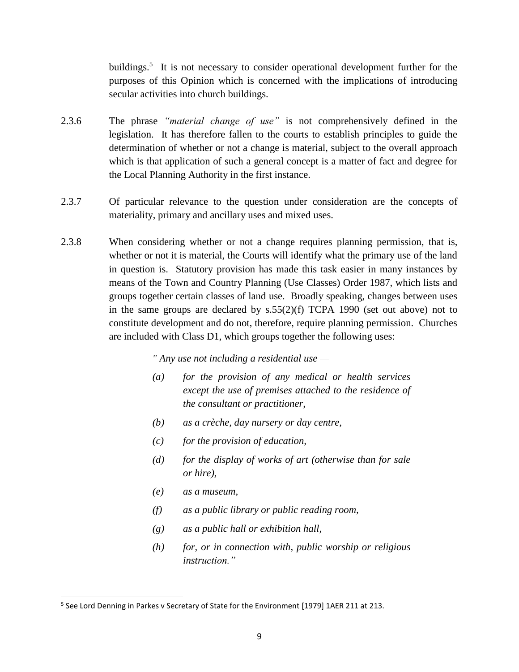buildings.<sup>5</sup> It is not necessary to consider operational development further for the purposes of this Opinion which is concerned with the implications of introducing secular activities into church buildings.

- 2.3.6 The phrase *"material change of use"* is not comprehensively defined in the legislation. It has therefore fallen to the courts to establish principles to guide the determination of whether or not a change is material, subject to the overall approach which is that application of such a general concept is a matter of fact and degree for the Local Planning Authority in the first instance.
- 2.3.7 Of particular relevance to the question under consideration are the concepts of materiality, primary and ancillary uses and mixed uses.
- 2.3.8 When considering whether or not a change requires planning permission, that is, whether or not it is material, the Courts will identify what the primary use of the land in question is. Statutory provision has made this task easier in many instances by means of the Town and Country Planning (Use Classes) Order 1987, which lists and groups together certain classes of land use. Broadly speaking, changes between uses in the same groups are declared by s.55(2)(f) TCPA 1990 (set out above) not to constitute development and do not, therefore, require planning permission. Churches are included with Class D1, which groups together the following uses:

*" Any use not including a residential use —*

- *(a) for the provision of any medical or health services except the use of premises attached to the residence of the consultant or practitioner,*
- *(b) as a crèche, day nursery or day centre,*
- *(c) for the provision of education,*
- *(d) for the display of works of art (otherwise than for sale or hire),*
- *(e) as a museum,*

- *(f) as a public library or public reading room,*
- *(g) as a public hall or exhibition hall,*
- *(h) for, or in connection with, public worship or religious instruction."*

<sup>&</sup>lt;sup>5</sup> See Lord Denning in Parkes v Secretary of State for the Environment [1979] 1AER 211 at 213.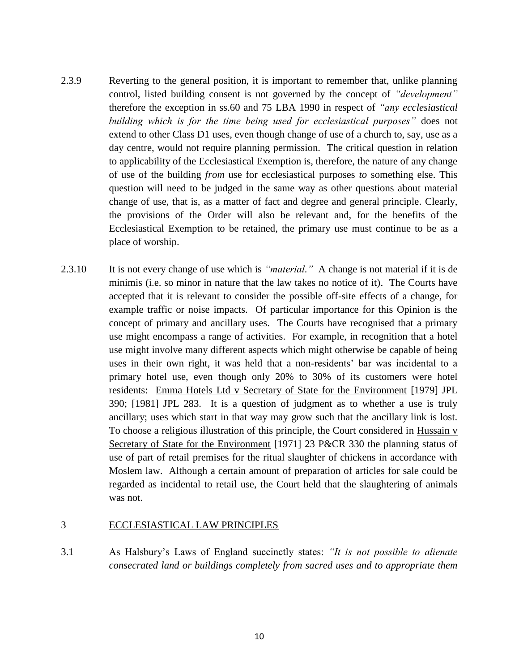- 2.3.9 Reverting to the general position, it is important to remember that, unlike planning control, listed building consent is not governed by the concept of *"development"* therefore the exception in ss.60 and 75 LBA 1990 in respect of *"any ecclesiastical building which is for the time being used for ecclesiastical purposes"* does not extend to other Class D1 uses, even though change of use of a church to, say, use as a day centre, would not require planning permission. The critical question in relation to applicability of the Ecclesiastical Exemption is, therefore, the nature of any change of use of the building *from* use for ecclesiastical purposes *to* something else. This question will need to be judged in the same way as other questions about material change of use, that is, as a matter of fact and degree and general principle. Clearly, the provisions of the Order will also be relevant and, for the benefits of the Ecclesiastical Exemption to be retained, the primary use must continue to be as a place of worship.
- 2.3.10 It is not every change of use which is *"material."* A change is not material if it is de minimis (i.e. so minor in nature that the law takes no notice of it). The Courts have accepted that it is relevant to consider the possible off-site effects of a change, for example traffic or noise impacts. Of particular importance for this Opinion is the concept of primary and ancillary uses. The Courts have recognised that a primary use might encompass a range of activities. For example, in recognition that a hotel use might involve many different aspects which might otherwise be capable of being uses in their own right, it was held that a non-residents' bar was incidental to a primary hotel use, even though only 20% to 30% of its customers were hotel residents: Emma Hotels Ltd v Secretary of State for the Environment [1979] JPL 390; [1981] JPL 283. It is a question of judgment as to whether a use is truly ancillary; uses which start in that way may grow such that the ancillary link is lost. To choose a religious illustration of this principle, the Court considered in Hussain v Secretary of State for the Environment [1971] 23 P&CR 330 the planning status of use of part of retail premises for the ritual slaughter of chickens in accordance with Moslem law. Although a certain amount of preparation of articles for sale could be regarded as incidental to retail use, the Court held that the slaughtering of animals was not.

### 3 ECCLESIASTICAL LAW PRINCIPLES

3.1 As Halsbury's Laws of England succinctly states: *"It is not possible to alienate consecrated land or buildings completely from sacred uses and to appropriate them*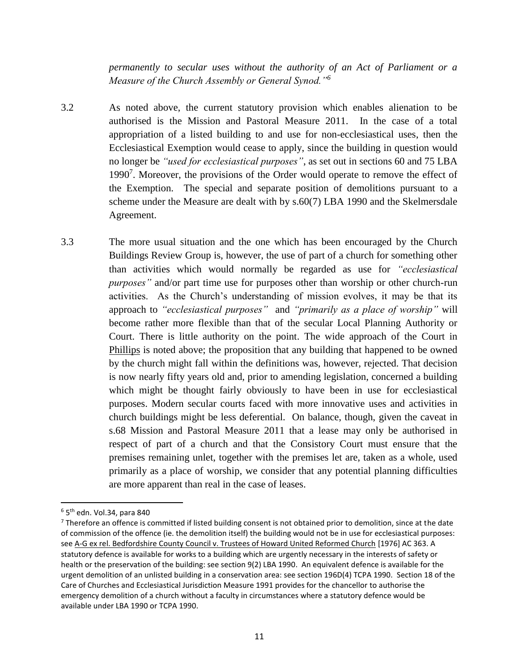*permanently to secular uses without the authority of an Act of Parliament or a Measure of the Church Assembly or General Synod."<sup>6</sup>*

- 3.2 As noted above, the current statutory provision which enables alienation to be authorised is the Mission and Pastoral Measure 2011. In the case of a total appropriation of a listed building to and use for non-ecclesiastical uses, then the Ecclesiastical Exemption would cease to apply, since the building in question would no longer be *"used for ecclesiastical purposes"*, as set out in sections 60 and 75 LBA 1990<sup>7</sup>. Moreover, the provisions of the Order would operate to remove the effect of the Exemption. The special and separate position of demolitions pursuant to a scheme under the Measure are dealt with by s.60(7) LBA 1990 and the Skelmersdale Agreement.
- 3.3 The more usual situation and the one which has been encouraged by the Church Buildings Review Group is, however, the use of part of a church for something other than activities which would normally be regarded as use for *"ecclesiastical purposes"* and/or part time use for purposes other than worship or other church-run activities. As the Church's understanding of mission evolves, it may be that its approach to *"ecclesiastical purposes"* and *"primarily as a place of worship"* will become rather more flexible than that of the secular Local Planning Authority or Court. There is little authority on the point. The wide approach of the Court in Phillips is noted above; the proposition that any building that happened to be owned by the church might fall within the definitions was, however, rejected. That decision is now nearly fifty years old and, prior to amending legislation, concerned a building which might be thought fairly obviously to have been in use for ecclesiastical purposes. Modern secular courts faced with more innovative uses and activities in church buildings might be less deferential. On balance, though, given the caveat in s.68 Mission and Pastoral Measure 2011 that a lease may only be authorised in respect of part of a church and that the Consistory Court must ensure that the premises remaining unlet, together with the premises let are, taken as a whole, used primarily as a place of worship, we consider that any potential planning difficulties are more apparent than real in the case of leases.

 $^6$  5<sup>th</sup> edn. Vol.34, para 840

<sup>&</sup>lt;sup>7</sup> Therefore an offence is committed if listed building consent is not obtained prior to demolition, since at the date of commission of the offence (ie. the demolition itself) the building would not be in use for ecclesiastical purposes: see A-G ex rel. Bedfordshire County Council v. Trustees of Howard United Reformed Church [1976] AC 363. A statutory defence is available for works to a building which are urgently necessary in the interests of safety or health or the preservation of the building: see section 9(2) LBA 1990. An equivalent defence is available for the urgent demolition of an unlisted building in a conservation area: see section 196D(4) TCPA 1990. Section 18 of the Care of Churches and Ecclesiastical Jurisdiction Measure 1991 provides for the chancellor to authorise the emergency demolition of a church without a faculty in circumstances where a statutory defence would be available under LBA 1990 or TCPA 1990.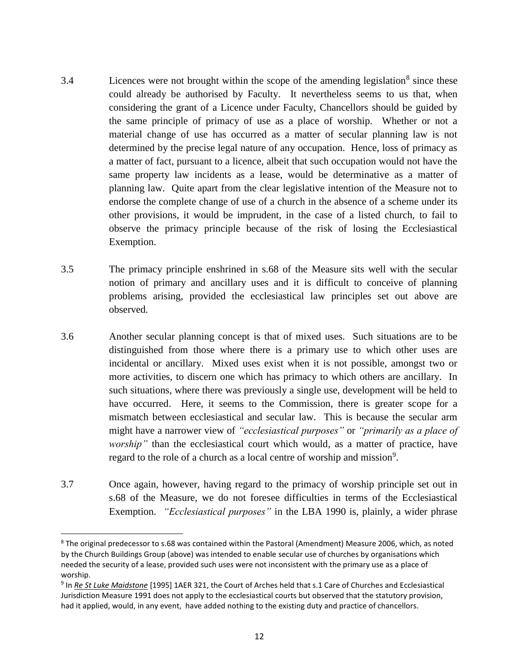- 3.4 Licences were not brought within the scope of the amending legislation<sup>8</sup> since these could already be authorised by Faculty. It nevertheless seems to us that, when considering the grant of a Licence under Faculty, Chancellors should be guided by the same principle of primacy of use as a place of worship. Whether or not a material change of use has occurred as a matter of secular planning law is not determined by the precise legal nature of any occupation. Hence, loss of primacy as a matter of fact, pursuant to a licence, albeit that such occupation would not have the same property law incidents as a lease, would be determinative as a matter of planning law. Quite apart from the clear legislative intention of the Measure not to endorse the complete change of use of a church in the absence of a scheme under its other provisions, it would be imprudent, in the case of a listed church, to fail to observe the primacy principle because of the risk of losing the Ecclesiastical Exemption.
- 3.5 The primacy principle enshrined in s.68 of the Measure sits well with the secular notion of primary and ancillary uses and it is difficult to conceive of planning problems arising, provided the ecclesiastical law principles set out above are observed.
- 3.6 Another secular planning concept is that of mixed uses. Such situations are to be distinguished from those where there is a primary use to which other uses are incidental or ancillary. Mixed uses exist when it is not possible, amongst two or more activities, to discern one which has primacy to which others are ancillary. In such situations, where there was previously a single use, development will be held to have occurred. Here, it seems to the Commission, there is greater scope for a mismatch between ecclesiastical and secular law. This is because the secular arm might have a narrower view of *"ecclesiastical purposes"* or *"primarily as a place of worship*" than the ecclesiastical court which would, as a matter of practice, have regard to the role of a church as a local centre of worship and mission<sup>9</sup>.
- 3.7 Once again, however, having regard to the primacy of worship principle set out in s.68 of the Measure, we do not foresee difficulties in terms of the Ecclesiastical Exemption. *"Ecclesiastical purposes"* in the LBA 1990 is, plainly, a wider phrase

<sup>8</sup> The original predecessor to s.68 was contained within the Pastoral (Amendment) Measure 2006, which, as noted by the Church Buildings Group (above) was intended to enable secular use of churches by organisations which needed the security of a lease, provided such uses were not inconsistent with the primary use as a place of worship.

<sup>9</sup> In *Re St Luke Maidstone* [1995] 1AER 321, the Court of Arches held that s.1 Care of Churches and Ecclesiastical Jurisdiction Measure 1991 does not apply to the ecclesiastical courts but observed that the statutory provision, had it applied, would, in any event, have added nothing to the existing duty and practice of chancellors.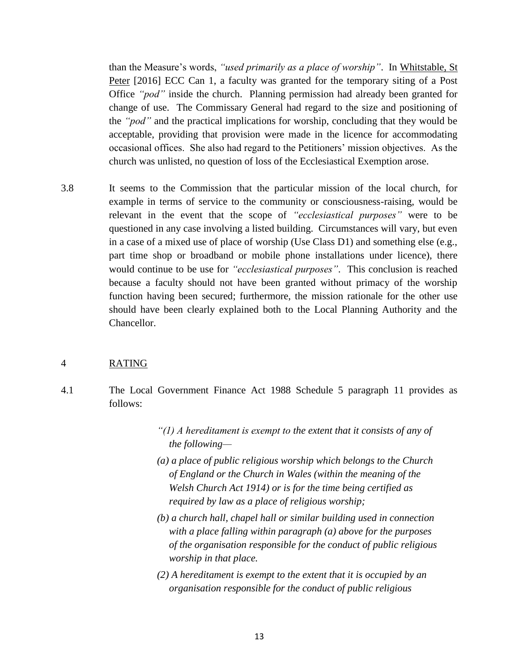than the Measure's words, *"used primarily as a place of worship"*. In Whitstable, St Peter [2016] ECC Can 1, a faculty was granted for the temporary siting of a Post Office *"pod"* inside the church. Planning permission had already been granted for change of use. The Commissary General had regard to the size and positioning of the *"pod"* and the practical implications for worship, concluding that they would be acceptable, providing that provision were made in the licence for accommodating occasional offices. She also had regard to the Petitioners' mission objectives. As the church was unlisted, no question of loss of the Ecclesiastical Exemption arose.

3.8 It seems to the Commission that the particular mission of the local church, for example in terms of service to the community or consciousness-raising, would be relevant in the event that the scope of *"ecclesiastical purposes"* were to be questioned in any case involving a listed building. Circumstances will vary, but even in a case of a mixed use of place of worship (Use Class D1) and something else (e.g., part time shop or broadband or mobile phone installations under licence), there would continue to be use for *"ecclesiastical purposes"*. This conclusion is reached because a faculty should not have been granted without primacy of the worship function having been secured; furthermore, the mission rationale for the other use should have been clearly explained both to the Local Planning Authority and the Chancellor.

# 4 RATING

- 4.1 The Local Government Finance Act 1988 Schedule 5 paragraph 11 provides as follows:
	- *"(1) A hereditament is exempt to the extent that it consists of any of the following—*
	- *(a) a place of public religious worship which belongs to the Church of England or the Church in Wales (within the meaning of the Welsh Church Act 1914) or is for the time being certified as required by law as a place of religious worship;*
	- *(b) a church hall, chapel hall or similar building used in connection with a place falling within paragraph (a) above for the purposes of the organisation responsible for the conduct of public religious worship in that place.*
	- *(2) A hereditament is exempt to the extent that it is occupied by an organisation responsible for the conduct of public religious*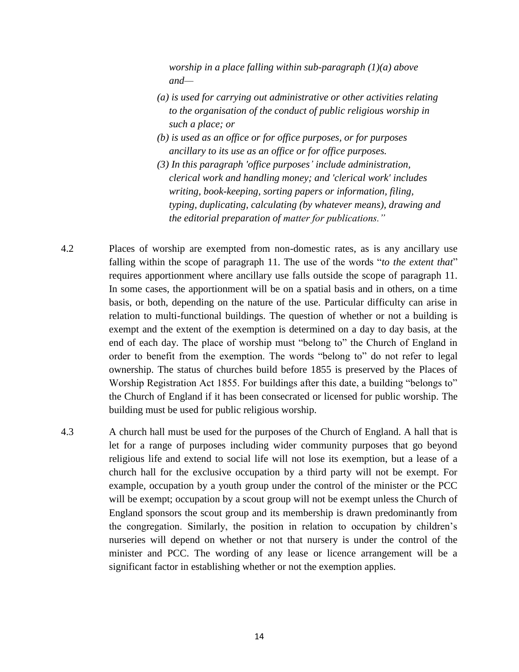*worship in a place falling within sub-paragraph (1)(a) above and—*

- *(a) is used for carrying out administrative or other activities relating to the organisation of the conduct of public religious worship in such a place; or*
- *(b) is used as an office or for office purposes, or for purposes ancillary to its use as an office or for office purposes.*
- *(3) In this paragraph 'office purposes' include administration, clerical work and handling money; and 'clerical work' includes writing, book-keeping, sorting papers or information, filing, typing, duplicating, calculating (by whatever means), drawing and the editorial preparation of matter for publications."*
- 4.2 Places of worship are exempted from non-domestic rates, as is any ancillary use falling within the scope of paragraph 11. The use of the words "*to the extent that*" requires apportionment where ancillary use falls outside the scope of paragraph 11. In some cases, the apportionment will be on a spatial basis and in others, on a time basis, or both, depending on the nature of the use. Particular difficulty can arise in relation to multi-functional buildings. The question of whether or not a building is exempt and the extent of the exemption is determined on a day to day basis, at the end of each day. The place of worship must "belong to" the Church of England in order to benefit from the exemption. The words "belong to" do not refer to legal ownership. The status of churches build before 1855 is preserved by the Places of Worship Registration Act 1855. For buildings after this date, a building "belongs to" the Church of England if it has been consecrated or licensed for public worship. The building must be used for public religious worship.
- 4.3 A church hall must be used for the purposes of the Church of England. A hall that is let for a range of purposes including wider community purposes that go beyond religious life and extend to social life will not lose its exemption, but a lease of a church hall for the exclusive occupation by a third party will not be exempt. For example, occupation by a youth group under the control of the minister or the PCC will be exempt; occupation by a scout group will not be exempt unless the Church of England sponsors the scout group and its membership is drawn predominantly from the congregation. Similarly, the position in relation to occupation by children's nurseries will depend on whether or not that nursery is under the control of the minister and PCC. The wording of any lease or licence arrangement will be a significant factor in establishing whether or not the exemption applies.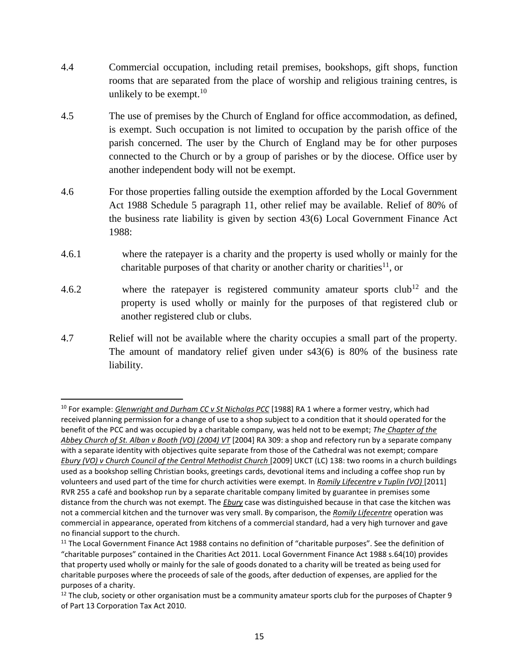- 4.4 Commercial occupation, including retail premises, bookshops, gift shops, function rooms that are separated from the place of worship and religious training centres, is unlikely to be exempt. $10$
- 4.5 The use of premises by the Church of England for office accommodation, as defined, is exempt. Such occupation is not limited to occupation by the parish office of the parish concerned. The user by the Church of England may be for other purposes connected to the Church or by a group of parishes or by the diocese. Office user by another independent body will not be exempt.
- 4.6 For those properties falling outside the exemption afforded by the Local Government Act 1988 Schedule 5 paragraph 11, other relief may be available. Relief of 80% of the business rate liability is given by section 43(6) Local Government Finance Act 1988:
- 4.6.1 where the ratepayer is a charity and the property is used wholly or mainly for the charitable purposes of that charity or another charity or charities<sup>11</sup>, or
- 4.6.2 where the ratepayer is registered community amateur sports  $\text{club}^{12}$  and the property is used wholly or mainly for the purposes of that registered club or another registered club or clubs.
- 4.7 Relief will not be available where the charity occupies a small part of the property. The amount of mandatory relief given under s43(6) is 80% of the business rate liability.

l

<sup>10</sup> For example: *Glenwright and Durham CC v St Nicholas PCC* [1988] RA 1 where a former vestry, which had received planning permission for a change of use to a shop subject to a condition that it should operated for the benefit of the PCC and was occupied by a charitable company, was held not to be exempt; *The Chapter of the Abbey Church of St. Alban v Booth (VO) (2004) VT* [2004] RA 309: a shop and refectory run by a separate company with a separate identity with objectives quite separate from those of the Cathedral was not exempt; compare *Ebury (VO) v Church Council of the Central Methodist Church* [2009] UKCT (LC) 138: two rooms in a church buildings used as a bookshop selling Christian books, greetings cards, devotional items and including a coffee shop run by volunteers and used part of the time for church activities were exempt. In *Romily Lifecentre v Tuplin (VO)* [2011] RVR 255 a café and bookshop run by a separate charitable company limited by guarantee in premises some distance from the church was not exempt. The *Ebury* case was distinguished because in that case the kitchen was not a commercial kitchen and the turnover was very small. By comparison, the *Romily Lifecentre* operation was commercial in appearance, operated from kitchens of a commercial standard, had a very high turnover and gave no financial support to the church.

<sup>&</sup>lt;sup>11</sup> The Local Government Finance Act 1988 contains no definition of "charitable purposes". See the definition of "charitable purposes" contained in the Charities Act 2011. Local Government Finance Act 1988 s.64(10) provides that property used wholly or mainly for the sale of goods donated to a charity will be treated as being used for charitable purposes where the proceeds of sale of the goods, after deduction of expenses, are applied for the purposes of a charity.

 $12$  The club, society or other organisation must be a community amateur sports club for the purposes of Chapter 9 of Part 13 Corporation Tax Act 2010.